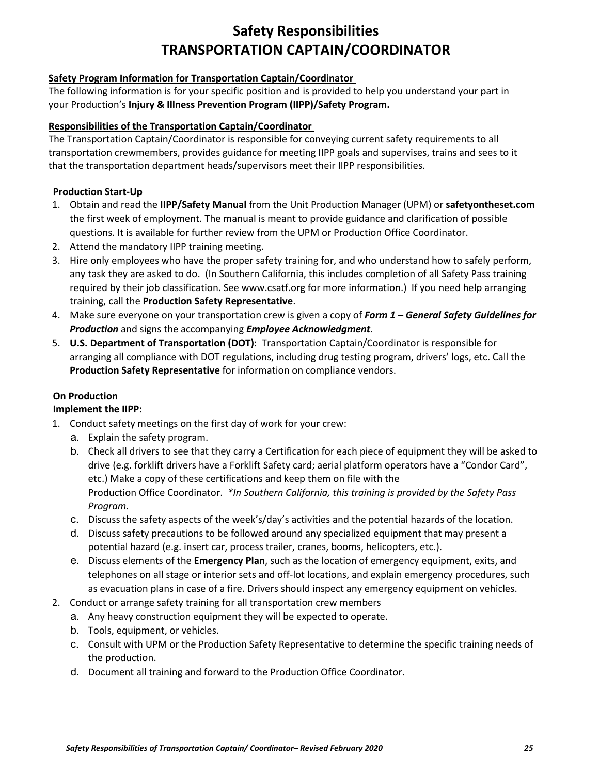## **Safety Responsibilities TRANSPORTATION CAPTAIN/COORDINATOR**

#### **Safety Program Information for Transportation Captain/Coordinator**

The following information is for your specific position and is provided to help you understand your part in your Production's **Injury & Illness Prevention Program (IIPP)/Safety Program.** 

#### **Responsibilities of the Transportation Captain/Coordinator**

The Transportation Captain/Coordinator is responsible for conveying current safety requirements to all transportation crewmembers, provides guidance for meeting IIPP goals and supervises, trains and sees to it that the transportation department heads/supervisors meet their IIPP responsibilities.

### **Production Start-Up**

- 1. Obtain and read the **IIPP/Safety Manual** from the Unit Production Manager (UPM) or **safetyontheset.com** the first week of employment. The manual is meant to provide guidance and clarification of possible questions. It is available for further review from the UPM or Production Office Coordinator.
- 2. Attend the mandatory IIPP training meeting.
- 3. Hire only employees who have the proper safety training for, and who understand how to safely perform, any task they are asked to do. (In Southern California, this includes completion of all Safety Pass training required by their job classification. See www.csatf.org for more information.) If you need help arranging training, call the **Production Safety Representative**.
- 4. Make sure everyone on your transportation crew is given a copy of *Form 1 – General Safety Guidelines for Production* and signs the accompanying *Employee Acknowledgment*.
- 5. **U.S. Department of Transportation (DOT)**: Transportation Captain/Coordinator is responsible for arranging all compliance with DOT regulations, including drug testing program, drivers' logs, etc. Call the **Production Safety Representative** for information on compliance vendors.

### **On Production**

#### **Implement the IIPP:**

- 1. Conduct safety meetings on the first day of work for your crew:
	- a. Explain the safety program.
	- b. Check all drivers to see that they carry a Certification for each piece of equipment they will be asked to drive (e.g. forklift drivers have a Forklift Safety card; aerial platform operators have a "Condor Card", etc.) Make a copy of these certifications and keep them on file with the Production Office Coordinator. *\*In Southern California, this training is provided by the Safety Pass Program.*
	- c. Discuss the safety aspects of the week's/day's activities and the potential hazards of the location.
	- d. Discuss safety precautions to be followed around any specialized equipment that may present a potential hazard (e.g. insert car, process trailer, cranes, booms, helicopters, etc.).
	- e. Discuss elements of the **Emergency Plan**, such as the location of emergency equipment, exits, and telephones on all stage or interior sets and off-lot locations, and explain emergency procedures, such as evacuation plans in case of a fire. Drivers should inspect any emergency equipment on vehicles.
- 2. Conduct or arrange safety training for all transportation crew members
	- a. Any heavy construction equipment they will be expected to operate.
	- b. Tools, equipment, or vehicles.
	- c. Consult with UPM or the Production Safety Representative to determine the specific training needs of the production.
	- d. Document all training and forward to the Production Office Coordinator.